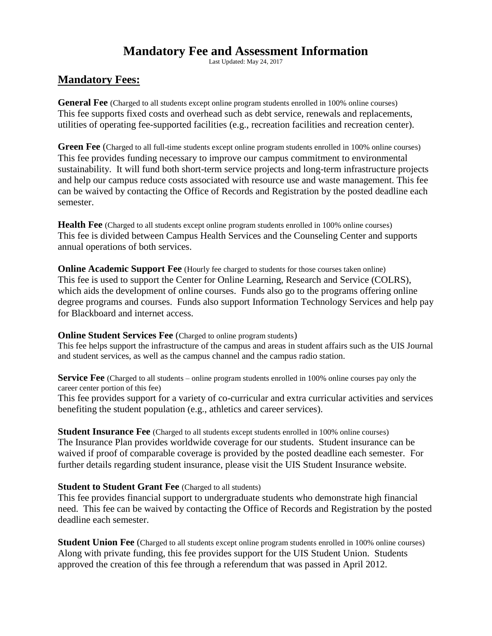# **Mandatory Fee and Assessment Information**

Last Updated: May 24, 2017

## **Mandatory Fees:**

**General Fee** (Charged to all students except online program students enrolled in 100% online courses) This fee supports fixed costs and overhead such as debt service, renewals and replacements, utilities of operating fee-supported facilities (e.g., recreation facilities and recreation center).

**Green Fee** (Charged to all full-time students except online program students enrolled in 100% online courses) This fee provides funding necessary to improve our campus commitment to environmental sustainability. It will fund both short-term service projects and long-term infrastructure projects and help our campus reduce costs associated with resource use and waste management. This fee can be waived by contacting the Office of Records and Registration by the posted deadline each semester.

**Health Fee** (Charged to all students except online program students enrolled in 100% online courses) This fee is divided between Campus Health Services and the Counseling Center and supports annual operations of both services.

**Online Academic Support Fee** (Hourly fee charged to students for those courses taken online) This fee is used to support the Center for Online Learning, Research and Service (COLRS), which aids the development of online courses. Funds also go to the programs offering online degree programs and courses. Funds also support Information Technology Services and help pay for Blackboard and internet access.

#### **Online Student Services Fee** (Charged to online program students)

This fee helps support the infrastructure of the campus and areas in student affairs such as the UIS Journal and student services, as well as the campus channel and the campus radio station.

**Service Fee** (Charged to all students – online program students enrolled in 100% online courses pay only the career center portion of this fee)

This fee provides support for a variety of co-curricular and extra curricular activities and services benefiting the student population (e.g., athletics and career services).

**Student Insurance Fee** (Charged to all students except students enrolled in 100% online courses) The Insurance Plan provides worldwide coverage for our students. Student insurance can be waived if proof of comparable coverage is provided by the posted deadline each semester. For further details regarding student insurance, please visit the UIS Student Insurance website.

#### **Student to Student Grant Fee** (Charged to all students)

This fee provides financial support to undergraduate students who demonstrate high financial need. This fee can be waived by contacting the Office of Records and Registration by the posted deadline each semester.

**Student Union Fee** (Charged to all students except online program students enrolled in 100% online courses) Along with private funding, this fee provides support for the UIS Student Union. Students approved the creation of this fee through a referendum that was passed in April 2012.